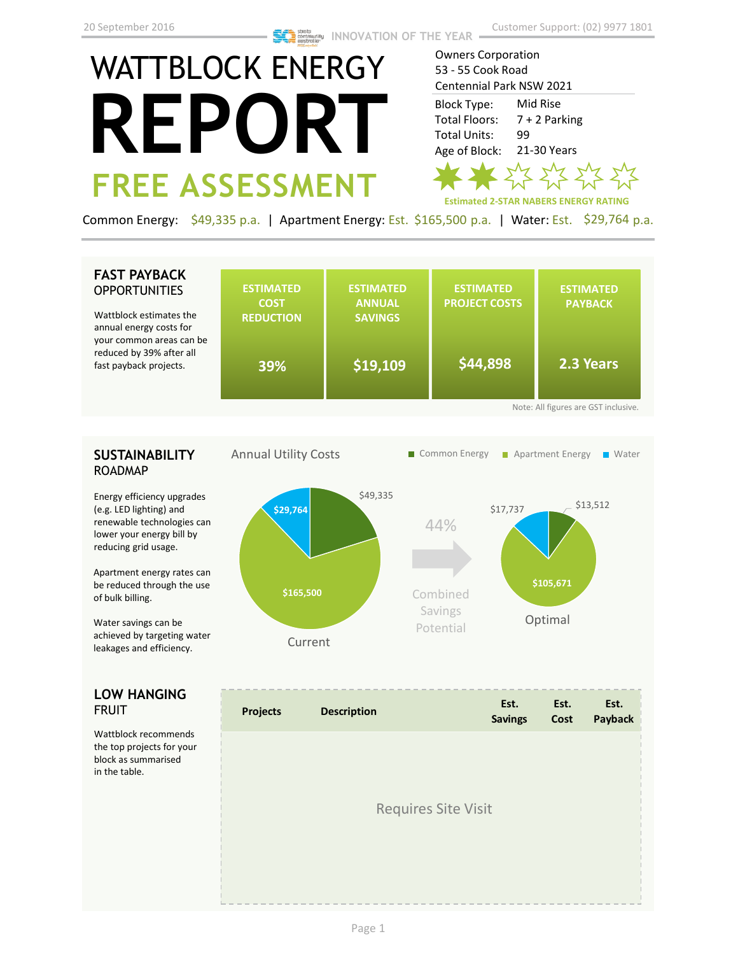# WATTBLOCK ENERGY **REPORT FREE ASSESSMENT**

Owners Corporation 53 - 55 Cook Road Centennial Park NSW 2021

Mid Rise 7 + 2 Parking 99 21-30 Years Block Type: Total Floors: Total Units: Age of Block:



Common Energy: \$49,335 p.a. | Apartment Energy: Est. \$165,500 p.a. | Water: Est. \$29,764 p.a.

### **FAST PAYBACK OPPORTUNITIES**

Wattblock estimates the annual energy costs fo your common areas ca reduced by 39% after fast payback projects.

| the<br>or                            | <b>ESTIMATED</b><br><b>COST</b><br><b>REDUCTION</b> | <b>ESTIMATED</b><br><b>ANNUAL</b><br><b>SAVINGS</b> | <b>ESTIMATED</b><br><b>PROJECT COSTS</b> | <b>ESTIMATED</b><br><b>PAYBACK</b> |  |  |
|--------------------------------------|-----------------------------------------------------|-----------------------------------------------------|------------------------------------------|------------------------------------|--|--|
| an be<br>all                         | 39%                                                 | \$19,109                                            | \$44,898                                 | 2.3 Years                          |  |  |
| Note: All figures are GST inclusive. |                                                     |                                                     |                                          |                                    |  |  |

## **SUSTAINABILITY** ROADMAP

Energy efficiency upgrades (e.g. LED lighting) and renewable technologies can lower your energy bill by reducing grid usage.

Apartment energy rates can be reduced through the use of bulk billing.

Water savings can be achieved by targeting water leakages and efficiency.

### **LOW HANGING**  FRUIT

Wattblock recommends the top projects for your block as summarised in the table.



| <b>Projects</b> | <b>Description</b>         | Est.<br><b>Savings</b> | Est.<br>Cost | Est.<br>Payback |
|-----------------|----------------------------|------------------------|--------------|-----------------|
|                 | <b>Requires Site Visit</b> |                        |              |                 |
|                 |                            |                        |              |                 |